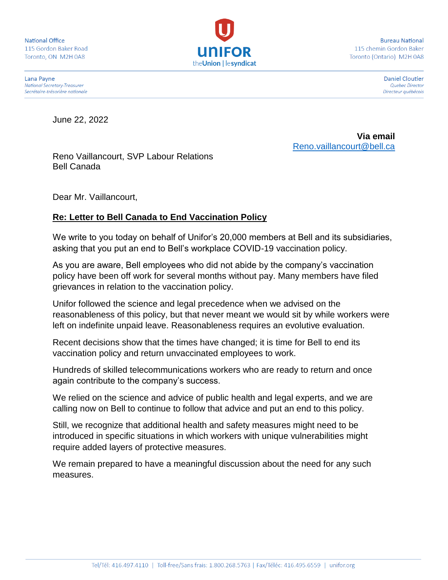**National Office** 115 Gordon Baker Road Toronto, ON M2H 0A8



**Bureau National** 115 chemin Gordon Baker Toronto (Ontario) M2H 0A8

Daniel Cloutier

Quebec Director Directeur québécois

Lana Payne **National Secretary-Treasurer** Secrétaire-trésorière nationale

June 22, 2022

**Via email** [Reno.vaillancourt@bell.ca](mailto:Reno.vaillancourt@bell.ca)

Reno Vaillancourt, SVP Labour Relations Bell Canada

Dear Mr. Vaillancourt,

## **Re: Letter to Bell Canada to End Vaccination Policy**

We write to you today on behalf of Unifor's 20,000 members at Bell and its subsidiaries, asking that you put an end to Bell's workplace COVID-19 vaccination policy.

As you are aware, Bell employees who did not abide by the company's vaccination policy have been off work for several months without pay. Many members have filed grievances in relation to the vaccination policy.

Unifor followed the science and legal precedence when we advised on the reasonableness of this policy, but that never meant we would sit by while workers were left on indefinite unpaid leave. Reasonableness requires an evolutive evaluation.

Recent decisions show that the times have changed; it is time for Bell to end its vaccination policy and return unvaccinated employees to work.

Hundreds of skilled telecommunications workers who are ready to return and once again contribute to the company's success.

We relied on the science and advice of public health and legal experts, and we are calling now on Bell to continue to follow that advice and put an end to this policy.

Still, we recognize that additional health and safety measures might need to be introduced in specific situations in which workers with unique vulnerabilities might require added layers of protective measures.

We remain prepared to have a meaningful discussion about the need for any such measures.